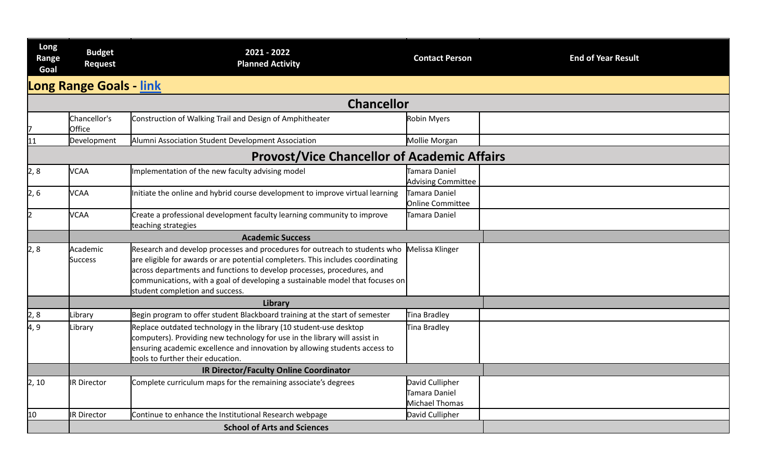| Long<br>Range<br>Goal | <b>Budget</b><br>Request       | 2021 - 2022<br><b>Planned Activity</b>                                                                                                                                                                                                                                                                                                                      | <b>Contact Person</b>                              | <b>End of Year Result</b> |
|-----------------------|--------------------------------|-------------------------------------------------------------------------------------------------------------------------------------------------------------------------------------------------------------------------------------------------------------------------------------------------------------------------------------------------------------|----------------------------------------------------|---------------------------|
|                       | <b>Long Range Goals - link</b> |                                                                                                                                                                                                                                                                                                                                                             |                                                    |                           |
|                       |                                | <b>Chancellor</b>                                                                                                                                                                                                                                                                                                                                           |                                                    |                           |
|                       | Chancellor's<br>Office         | Construction of Walking Trail and Design of Amphitheater                                                                                                                                                                                                                                                                                                    | Robin Myers                                        |                           |
| 11                    | Development                    | Alumni Association Student Development Association                                                                                                                                                                                                                                                                                                          | Mollie Morgan                                      |                           |
|                       |                                | <b>Provost/Vice Chancellor of Academic Affairs</b>                                                                                                                                                                                                                                                                                                          |                                                    |                           |
| 2,8                   | <b>VCAA</b>                    | Implementation of the new faculty advising model                                                                                                                                                                                                                                                                                                            | Tamara Daniel<br><b>Advising Committee</b>         |                           |
| $\vert$ 2, 6          | <b>VCAA</b>                    | Initiate the online and hybrid course development to improve virtual learning                                                                                                                                                                                                                                                                               | Tamara Daniel<br>Online Committee                  |                           |
| 2                     | <b>VCAA</b>                    | Create a professional development faculty learning community to improve<br>teaching strategies                                                                                                                                                                                                                                                              | Tamara Daniel                                      |                           |
|                       |                                | <b>Academic Success</b>                                                                                                                                                                                                                                                                                                                                     |                                                    |                           |
| $\vert 2, 8 \vert$    | Academic<br><b>Success</b>     | Research and develop processes and procedures for outreach to students who<br>are eligible for awards or are potential completers. This includes coordinating<br>across departments and functions to develop processes, procedures, and<br>communications, with a goal of developing a sustainable model that focuses on<br>student completion and success. | Melissa Klinger                                    |                           |
|                       |                                | Library                                                                                                                                                                                                                                                                                                                                                     |                                                    |                           |
| 2,8                   | Library                        | Begin program to offer student Blackboard training at the start of semester                                                                                                                                                                                                                                                                                 | Tina Bradley                                       |                           |
| 4,9                   | Library                        | Replace outdated technology in the library (10 student-use desktop<br>computers). Providing new technology for use in the library will assist in<br>ensuring academic excellence and innovation by allowing students access to<br>tools to further their education.                                                                                         | Tina Bradley                                       |                           |
|                       |                                | <b>IR Director/Faculty Online Coordinator</b>                                                                                                                                                                                                                                                                                                               |                                                    |                           |
| 2, 10                 | <b>IR Director</b>             | Complete curriculum maps for the remaining associate's degrees                                                                                                                                                                                                                                                                                              | David Cullipher<br>Tamara Daniel<br>Michael Thomas |                           |
| 10                    | <b>IR Director</b>             | Continue to enhance the Institutional Research webpage                                                                                                                                                                                                                                                                                                      | David Cullipher                                    |                           |
|                       |                                | <b>School of Arts and Sciences</b>                                                                                                                                                                                                                                                                                                                          |                                                    |                           |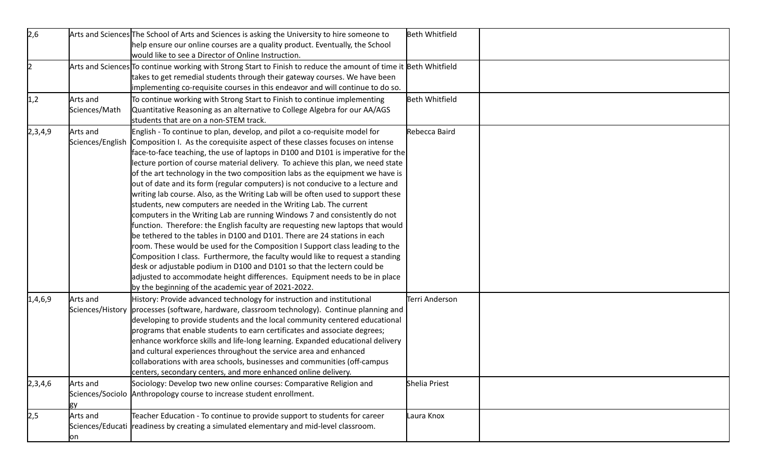| 2,6       |                              | Arts and Sciences The School of Arts and Sciences is asking the University to hire someone to<br>help ensure our online courses are a quality product. Eventually, the School<br>would like to see a Director of Online Instruction.                                                                                                                                                                                                                                                                                                                                                                                                                                                                                                                                                                                                                                                                                                                                                                                                                                                                                                                                                                                                                                                                            | <b>Beth Whitfield</b> |  |
|-----------|------------------------------|-----------------------------------------------------------------------------------------------------------------------------------------------------------------------------------------------------------------------------------------------------------------------------------------------------------------------------------------------------------------------------------------------------------------------------------------------------------------------------------------------------------------------------------------------------------------------------------------------------------------------------------------------------------------------------------------------------------------------------------------------------------------------------------------------------------------------------------------------------------------------------------------------------------------------------------------------------------------------------------------------------------------------------------------------------------------------------------------------------------------------------------------------------------------------------------------------------------------------------------------------------------------------------------------------------------------|-----------------------|--|
| $\vert$ 2 |                              | Arts and Sciences To continue working with Strong Start to Finish to reduce the amount of time it Beth Whitfield<br>takes to get remedial students through their gateway courses. We have been<br>implementing co-requisite courses in this endeavor and will continue to do so.                                                                                                                                                                                                                                                                                                                                                                                                                                                                                                                                                                                                                                                                                                                                                                                                                                                                                                                                                                                                                                |                       |  |
| 1,2       | Arts and<br>Sciences/Math    | To continue working with Strong Start to Finish to continue implementing<br>Quantitative Reasoning as an alternative to College Algebra for our AA/AGS<br>students that are on a non-STEM track.                                                                                                                                                                                                                                                                                                                                                                                                                                                                                                                                                                                                                                                                                                                                                                                                                                                                                                                                                                                                                                                                                                                | <b>Beth Whitfield</b> |  |
| 2,3,4,9   | Arts and                     | English - To continue to plan, develop, and pilot a co-requisite model for<br>Sciences/English Composition I. As the corequisite aspect of these classes focuses on intense<br>face-to-face teaching, the use of laptops in D100 and D101 is imperative for the<br>lecture portion of course material delivery. To achieve this plan, we need state<br>of the art technology in the two composition labs as the equipment we have is<br>out of date and its form (regular computers) is not conducive to a lecture and<br>writing lab course. Also, as the Writing Lab will be often used to support these<br>students, new computers are needed in the Writing Lab. The current<br>computers in the Writing Lab are running Windows 7 and consistently do not<br>function. Therefore: the English faculty are requesting new laptops that would<br>be tethered to the tables in D100 and D101. There are 24 stations in each<br>room. These would be used for the Composition I Support class leading to the<br>Composition I class. Furthermore, the faculty would like to request a standing<br>desk or adjustable podium in D100 and D101 so that the lectern could be<br>adjusted to accommodate height differences. Equipment needs to be in place<br>by the beginning of the academic year of 2021-2022. | Rebecca Baird         |  |
| 1,4,6,9   | Arts and<br>Sciences/History | History: Provide advanced technology for instruction and institutional<br>processes (software, hardware, classroom technology). Continue planning and<br>developing to provide students and the local community centered educational<br>programs that enable students to earn certificates and associate degrees;<br>enhance workforce skills and life-long learning. Expanded educational delivery<br>and cultural experiences throughout the service area and enhanced<br>collaborations with area schools, businesses and communities (off-campus<br>centers, secondary centers, and more enhanced online delivery.                                                                                                                                                                                                                                                                                                                                                                                                                                                                                                                                                                                                                                                                                          | Terri Anderson        |  |
| 2,3,4,6   | Arts and                     | Sociology: Develop two new online courses: Comparative Religion and<br>Sciences/Sociolo   Anthropology course to increase student enrollment.                                                                                                                                                                                                                                                                                                                                                                                                                                                                                                                                                                                                                                                                                                                                                                                                                                                                                                                                                                                                                                                                                                                                                                   | Shelia Priest         |  |
| 2,5       | Arts and<br>on               | Teacher Education - To continue to provide support to students for career<br>Sciences/Educati  readiness by creating a simulated elementary and mid-level classroom.                                                                                                                                                                                                                                                                                                                                                                                                                                                                                                                                                                                                                                                                                                                                                                                                                                                                                                                                                                                                                                                                                                                                            | Laura Knox            |  |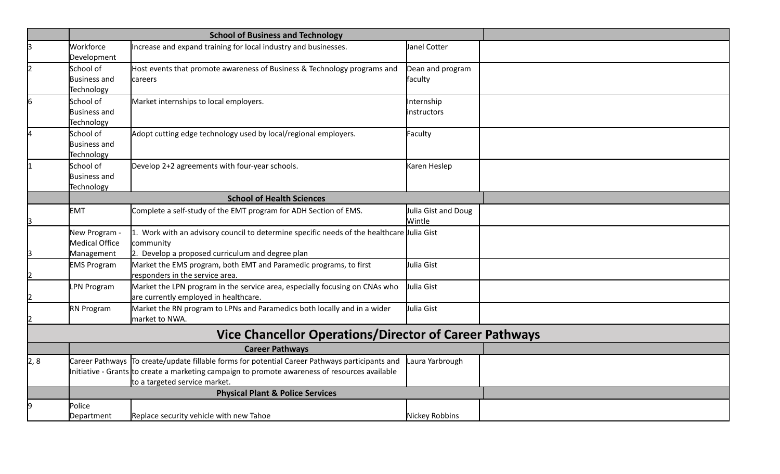|     |                                                | <b>School of Business and Technology</b>                                                                                                                                                                                           |                               |  |
|-----|------------------------------------------------|------------------------------------------------------------------------------------------------------------------------------------------------------------------------------------------------------------------------------------|-------------------------------|--|
| lз  | Workforce<br>Development                       | Increase and expand training for local industry and businesses.                                                                                                                                                                    | Janel Cotter                  |  |
| 12  | School of<br><b>Business and</b><br>Technology | Host events that promote awareness of Business & Technology programs and<br>careers                                                                                                                                                | Dean and program<br>faculty   |  |
| 6   | School of<br><b>Business and</b><br>Technology | Market internships to local employers.                                                                                                                                                                                             | nternship<br>instructors      |  |
| 4   | School of<br><b>Business and</b><br>Technology | Adopt cutting edge technology used by local/regional employers.                                                                                                                                                                    | Faculty                       |  |
|     | School of<br><b>Business and</b><br>Technology | Develop 2+2 agreements with four-year schools.                                                                                                                                                                                     | Karen Heslep                  |  |
|     |                                                | <b>School of Health Sciences</b>                                                                                                                                                                                                   |                               |  |
|     | <b>EMT</b>                                     | Complete a self-study of the EMT program for ADH Section of EMS.                                                                                                                                                                   | Julia Gist and Doug<br>Wintle |  |
|     | New Program -<br><b>Medical Office</b>         | 1. Work with an advisory council to determine specific needs of the healthcare <i>ulia</i> Gist<br>community                                                                                                                       |                               |  |
| 3   | Management                                     | 2. Develop a proposed curriculum and degree plan                                                                                                                                                                                   |                               |  |
| I2  | <b>EMS Program</b>                             | Market the EMS program, both EMT and Paramedic programs, to first<br>responders in the service area.                                                                                                                               | Julia Gist                    |  |
|     | <b>LPN Program</b>                             | Market the LPN program in the service area, especially focusing on CNAs who<br>are currently employed in healthcare.                                                                                                               | Julia Gist                    |  |
|     | RN Program                                     | Market the RN program to LPNs and Paramedics both locally and in a wider<br>market to NWA.                                                                                                                                         | Julia Gist                    |  |
|     |                                                | <b>Vice Chancellor Operations/Director of Career Pathways</b>                                                                                                                                                                      |                               |  |
|     |                                                | <b>Career Pathways</b>                                                                                                                                                                                                             |                               |  |
| 2,8 |                                                | Career Pathways To create/update fillable forms for potential Career Pathways participants and<br>Initiative - Grants tto create a marketing campaign to promote awareness of resources available<br>to a targeted service market. | Laura Yarbrough               |  |
|     | <b>Physical Plant &amp; Police Services</b>    |                                                                                                                                                                                                                                    |                               |  |
| 9   | Police<br>Department                           | Replace security vehicle with new Tahoe                                                                                                                                                                                            | Nickey Robbins                |  |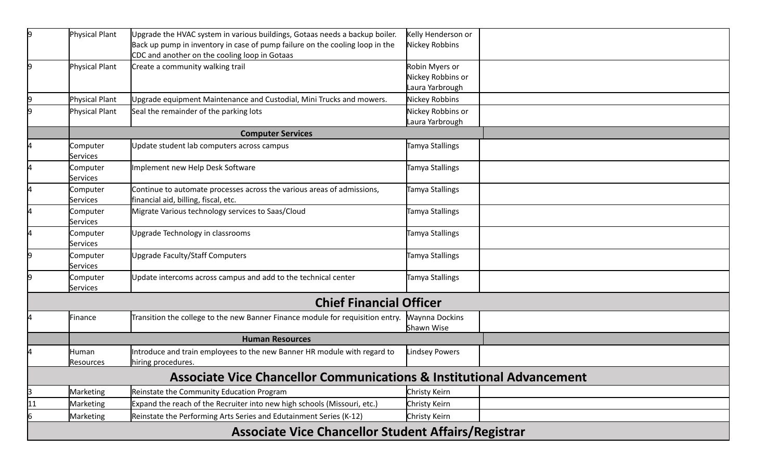| 9  | Physical Plant                                             | Upgrade the HVAC system in various buildings, Gotaas needs a backup boiler.                                                   | Kelly Henderson or                   |  |  |  |
|----|------------------------------------------------------------|-------------------------------------------------------------------------------------------------------------------------------|--------------------------------------|--|--|--|
|    |                                                            | Back up pump in inventory in case of pump failure on the cooling loop in the<br>CDC and another on the cooling loop in Gotaas | Nickey Robbins                       |  |  |  |
| l9 | Physical Plant                                             | Create a community walking trail                                                                                              | Robin Myers or                       |  |  |  |
|    |                                                            |                                                                                                                               | Nickey Robbins or                    |  |  |  |
|    |                                                            |                                                                                                                               | Laura Yarbrough                      |  |  |  |
| 19 | Physical Plant                                             | Upgrade equipment Maintenance and Custodial, Mini Trucks and mowers.                                                          | Nickey Robbins                       |  |  |  |
| 19 | <b>Physical Plant</b>                                      | Seal the remainder of the parking lots                                                                                        | Nickey Robbins or<br>Laura Yarbrough |  |  |  |
|    |                                                            | <b>Computer Services</b>                                                                                                      |                                      |  |  |  |
| 14 | Computer                                                   | Update student lab computers across campus                                                                                    | Tamya Stallings                      |  |  |  |
|    | Services                                                   |                                                                                                                               |                                      |  |  |  |
| 14 | Computer<br>Services                                       | Implement new Help Desk Software                                                                                              | Tamya Stallings                      |  |  |  |
| I4 | Computer<br><b>Services</b>                                | Continue to automate processes across the various areas of admissions,<br>financial aid, billing, fiscal, etc.                | Tamya Stallings                      |  |  |  |
| 4  | Computer                                                   | Migrate Various technology services to Saas/Cloud                                                                             | Tamya Stallings                      |  |  |  |
|    | Services                                                   |                                                                                                                               |                                      |  |  |  |
| 14 | Computer<br><b>Services</b>                                | <b>Jpgrade Technology in classrooms</b>                                                                                       | Tamya Stallings                      |  |  |  |
| 19 | Computer<br>Services                                       | Upgrade Faculty/Staff Computers                                                                                               | Tamya Stallings                      |  |  |  |
| 19 | Computer<br>Services                                       | Update intercoms across campus and add to the technical center                                                                | Tamya Stallings                      |  |  |  |
|    |                                                            | <b>Chief Financial Officer</b>                                                                                                |                                      |  |  |  |
| 14 | Finance                                                    | Transition the college to the new Banner Finance module for requisition entry.                                                | <b>Waynna Dockins</b><br>Shawn Wise  |  |  |  |
|    | <b>Human Resources</b>                                     |                                                                                                                               |                                      |  |  |  |
|    | Human<br>Resources                                         | Introduce and train employees to the new Banner HR module with regard to<br>hiring procedures.                                | <b>Lindsey Powers</b>                |  |  |  |
|    |                                                            | <b>Associate Vice Chancellor Communications &amp; Institutional Advancement</b>                                               |                                      |  |  |  |
| 3  | Marketing                                                  | Reinstate the Community Education Program                                                                                     | Christy Keirn                        |  |  |  |
| 11 | Marketing                                                  | Expand the reach of the Recruiter into new high schools (Missouri, etc.)                                                      | Christy Keirn                        |  |  |  |
| 6  | Marketing                                                  | Reinstate the Performing Arts Series and Edutainment Series (K-12)                                                            | Christy Keirn                        |  |  |  |
|    | <b>Associate Vice Chancellor Student Affairs/Registrar</b> |                                                                                                                               |                                      |  |  |  |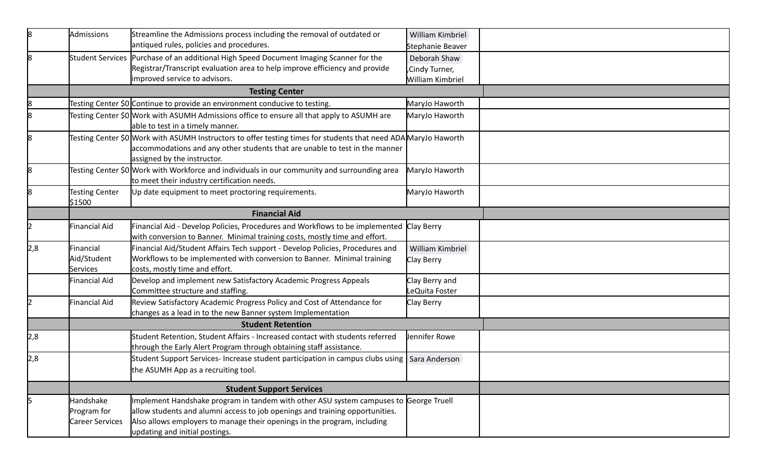| 8   | Admissions                      | Streamline the Admissions process including the removal of outdated or                                                                                                                                                        | William Kimbriel                |  |
|-----|---------------------------------|-------------------------------------------------------------------------------------------------------------------------------------------------------------------------------------------------------------------------------|---------------------------------|--|
|     |                                 | antiqued rules, policies and procedures.                                                                                                                                                                                      | Stephanie Beaver                |  |
| 8   |                                 | Student Services Purchase of an additional High Speed Document Imaging Scanner for the                                                                                                                                        | Deborah Shaw                    |  |
|     |                                 | Registrar/Transcript evaluation area to help improve efficiency and provide                                                                                                                                                   | Cindy Turner,                   |  |
|     |                                 | improved service to advisors.                                                                                                                                                                                                 | William Kimbriel                |  |
|     |                                 | <b>Testing Center</b>                                                                                                                                                                                                         |                                 |  |
| 8   |                                 | Testing Center \$0 Continue to provide an environment conducive to testing.                                                                                                                                                   | MaryJo Haworth                  |  |
| 8   |                                 | Testing Center \$0 Work with ASUMH Admissions office to ensure all that apply to ASUMH are<br>able to test in a timely manner.                                                                                                | MaryJo Haworth                  |  |
| 8   |                                 | Testing Center \$0 Work with ASUMH Instructors to offer testing times for students that need ADA MaryJo Haworth<br>accommodations and any other students that are unable to test in the manner<br>assigned by the instructor. |                                 |  |
| 8   |                                 | Testing Center \$0 Work with Workforce and individuals in our community and surrounding area<br>to meet their industry certification needs.                                                                                   | MaryJo Haworth                  |  |
| l8  | <b>Testing Center</b><br>\$1500 | Up date equipment to meet proctoring requirements.                                                                                                                                                                            | MaryJo Haworth                  |  |
|     | <b>Financial Aid</b>            |                                                                                                                                                                                                                               |                                 |  |
|     | inancial Aid                    | Financial Aid - Develop Policies, Procedures and Workflows to be implemented Clay Berry<br>with conversion to Banner. Minimal training costs, mostly time and effort.                                                         |                                 |  |
| 2,8 | Financial                       | Financial Aid/Student Affairs Tech support - Develop Policies, Procedures and                                                                                                                                                 | William Kimbriel                |  |
|     | Aid/Student<br>Services         | Workflows to be implemented with conversion to Banner. Minimal training<br>costs, mostly time and effort.                                                                                                                     | Clay Berry                      |  |
|     | Financial Aid                   | Develop and implement new Satisfactory Academic Progress Appeals<br>Committee structure and staffing.                                                                                                                         | Clay Berry and<br>eQuita Foster |  |
|     | Financial Aid                   | Review Satisfactory Academic Progress Policy and Cost of Attendance for<br>changes as a lead in to the new Banner system Implementation                                                                                       | Clay Berry                      |  |
|     |                                 | <b>Student Retention</b>                                                                                                                                                                                                      |                                 |  |
| 2,8 |                                 | Student Retention, Student Affairs - Increased contact with students referred<br>through the Early Alert Program through obtaining staff assistance.                                                                          | Jennifer Rowe                   |  |
| 2,8 |                                 | Student Support Services- Increase student participation in campus clubs using   Sara Anderson                                                                                                                                |                                 |  |
|     |                                 | the ASUMH App as a recruiting tool.                                                                                                                                                                                           |                                 |  |
|     | <b>Student Support Services</b> |                                                                                                                                                                                                                               |                                 |  |
|     | Handshake                       | Implement Handshake program in tandem with other ASU system campuses to George Truell                                                                                                                                         |                                 |  |
|     | Program for                     | allow students and alumni access to job openings and training opportunities.                                                                                                                                                  |                                 |  |
|     | Career Services                 | Also allows employers to manage their openings in the program, including                                                                                                                                                      |                                 |  |
|     |                                 | updating and initial postings.                                                                                                                                                                                                |                                 |  |